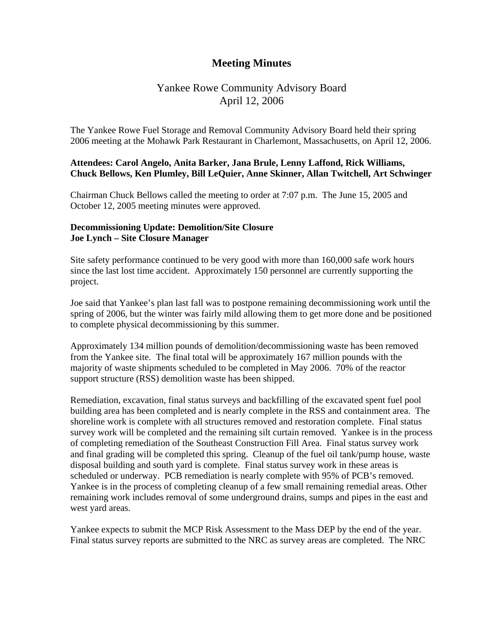# **Meeting Minutes**

# Yankee Rowe Community Advisory Board April 12, 2006

The Yankee Rowe Fuel Storage and Removal Community Advisory Board held their spring 2006 meeting at the Mohawk Park Restaurant in Charlemont, Massachusetts, on April 12, 2006.

## **Attendees: Carol Angelo, Anita Barker, Jana Brule, Lenny Laffond, Rick Williams, Chuck Bellows, Ken Plumley, Bill LeQuier, Anne Skinner, Allan Twitchell, Art Schwinger**

Chairman Chuck Bellows called the meeting to order at 7:07 p.m. The June 15, 2005 and October 12, 2005 meeting minutes were approved.

### **Decommissioning Update: Demolition/Site Closure Joe Lynch – Site Closure Manager**

Site safety performance continued to be very good with more than 160,000 safe work hours since the last lost time accident. Approximately 150 personnel are currently supporting the project.

Joe said that Yankee's plan last fall was to postpone remaining decommissioning work until the spring of 2006, but the winter was fairly mild allowing them to get more done and be positioned to complete physical decommissioning by this summer.

Approximately 134 million pounds of demolition/decommissioning waste has been removed from the Yankee site. The final total will be approximately 167 million pounds with the majority of waste shipments scheduled to be completed in May 2006. 70% of the reactor support structure (RSS) demolition waste has been shipped.

Remediation, excavation, final status surveys and backfilling of the excavated spent fuel pool building area has been completed and is nearly complete in the RSS and containment area. The shoreline work is complete with all structures removed and restoration complete. Final status survey work will be completed and the remaining silt curtain removed. Yankee is in the process of completing remediation of the Southeast Construction Fill Area. Final status survey work and final grading will be completed this spring. Cleanup of the fuel oil tank/pump house, waste disposal building and south yard is complete. Final status survey work in these areas is scheduled or underway. PCB remediation is nearly complete with 95% of PCB's removed. Yankee is in the process of completing cleanup of a few small remaining remedial areas. Other remaining work includes removal of some underground drains, sumps and pipes in the east and west yard areas.

Yankee expects to submit the MCP Risk Assessment to the Mass DEP by the end of the year. Final status survey reports are submitted to the NRC as survey areas are completed. The NRC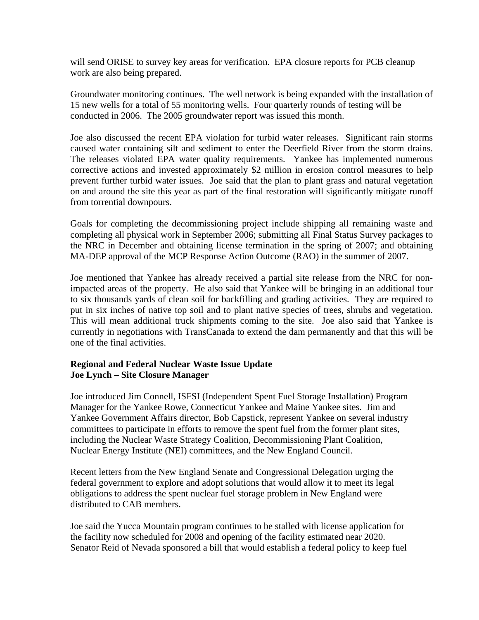will send ORISE to survey key areas for verification. EPA closure reports for PCB cleanup work are also being prepared.

Groundwater monitoring continues. The well network is being expanded with the installation of 15 new wells for a total of 55 monitoring wells. Four quarterly rounds of testing will be conducted in 2006. The 2005 groundwater report was issued this month.

Joe also discussed the recent EPA violation for turbid water releases. Significant rain storms caused water containing silt and sediment to enter the Deerfield River from the storm drains. The releases violated EPA water quality requirements. Yankee has implemented numerous corrective actions and invested approximately \$2 million in erosion control measures to help prevent further turbid water issues. Joe said that the plan to plant grass and natural vegetation on and around the site this year as part of the final restoration will significantly mitigate runoff from torrential downpours.

Goals for completing the decommissioning project include shipping all remaining waste and completing all physical work in September 2006; submitting all Final Status Survey packages to the NRC in December and obtaining license termination in the spring of 2007; and obtaining MA-DEP approval of the MCP Response Action Outcome (RAO) in the summer of 2007.

Joe mentioned that Yankee has already received a partial site release from the NRC for nonimpacted areas of the property. He also said that Yankee will be bringing in an additional four to six thousands yards of clean soil for backfilling and grading activities. They are required to put in six inches of native top soil and to plant native species of trees, shrubs and vegetation. This will mean additional truck shipments coming to the site. Joe also said that Yankee is currently in negotiations with TransCanada to extend the dam permanently and that this will be one of the final activities.

## **Regional and Federal Nuclear Waste Issue Update Joe Lynch – Site Closure Manager**

Joe introduced Jim Connell, ISFSI (Independent Spent Fuel Storage Installation) Program Manager for the Yankee Rowe, Connecticut Yankee and Maine Yankee sites. Jim and Yankee Government Affairs director, Bob Capstick, represent Yankee on several industry committees to participate in efforts to remove the spent fuel from the former plant sites, including the Nuclear Waste Strategy Coalition, Decommissioning Plant Coalition, Nuclear Energy Institute (NEI) committees, and the New England Council.

Recent letters from the New England Senate and Congressional Delegation urging the federal government to explore and adopt solutions that would allow it to meet its legal obligations to address the spent nuclear fuel storage problem in New England were distributed to CAB members.

Joe said the Yucca Mountain program continues to be stalled with license application for the facility now scheduled for 2008 and opening of the facility estimated near 2020. Senator Reid of Nevada sponsored a bill that would establish a federal policy to keep fuel